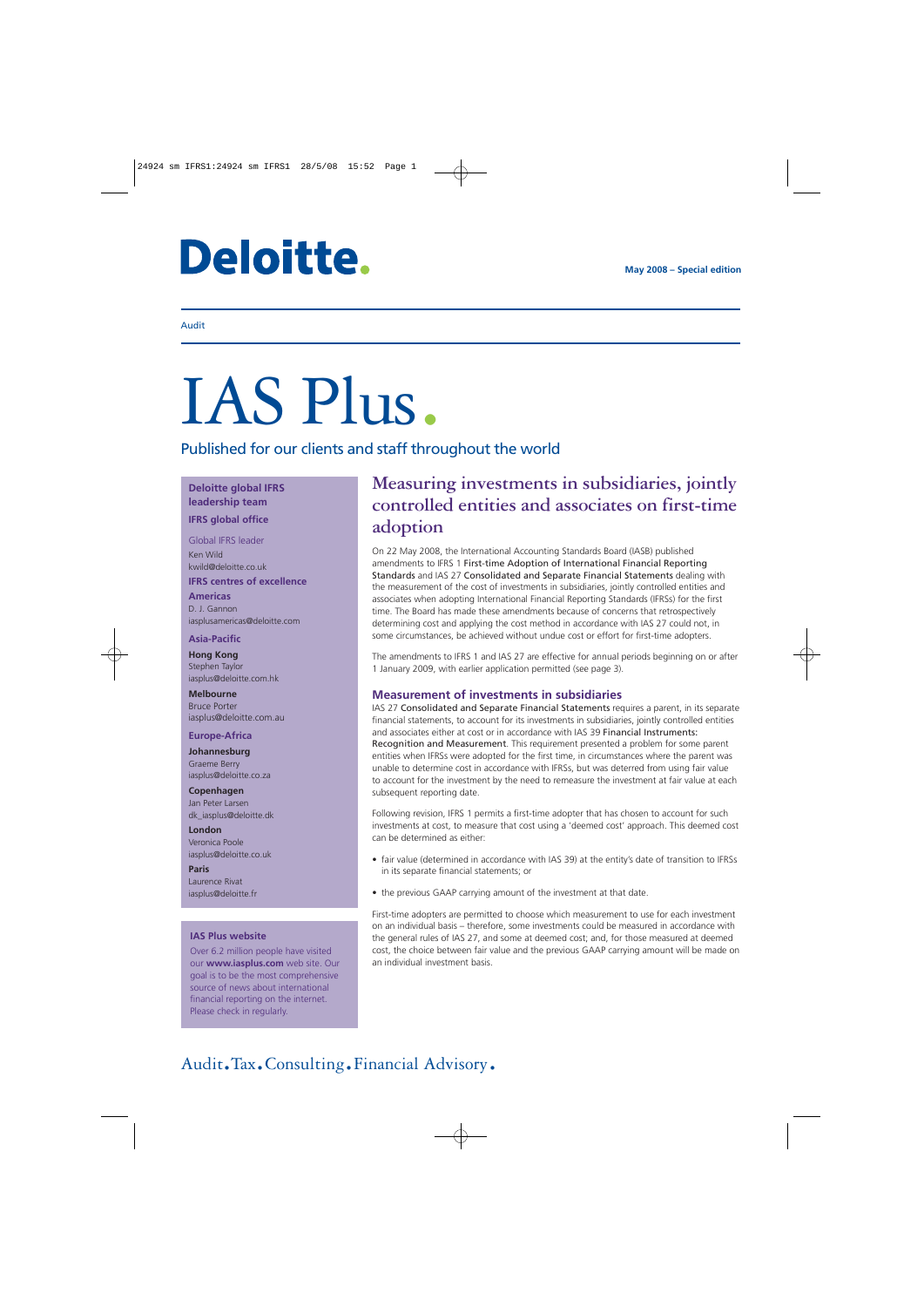# **Deloitte.**

#### Audit

# IAS Plus.

Published for our clients and staff throughout the world

#### **Deloitte global IFRS leadership team IFRS global office**

Global IFRS leader Ken Wild kwild@deloitte.co.uk **IFRS centres of excellence**

**Americas**

D. J. Gannon iasplusamericas@deloitte.com

#### **Asia-Pacific**

**Hong Kong** Stephen Taylor iasplus@deloitte.com.hk

**Melbourne** Bruce Porter iasplus@deloitte.com.au

#### **Europe-Africa**

**Johannesburg** Graeme Berry iasplus@deloitte.co.za

**Copenhagen** Jan Peter Larsen [dk\\_iasplus@deloitte.dk](mailto:dk_iasplus@deloitte.co.uk)

**London** Veronica Poole iasplus@deloitte.co.uk

**Paris** Laurence Rivat iasplus@deloitte.fr

#### **IAS Plus website**

Over 6.2 million people have visited our **www.iasplus.com** web site. Our goal is to be the most comprehensive source of news about international financial reporting on the internet. Please check in regularly.

### **Measuring investments in subsidiaries, jointly controlled entities and associates on first-time adoption**

On 22 May 2008, the International Accounting Standards Board (IASB) published amendments to IFRS 1 First-time Adoption of International Financial Reporting Standards and IAS 27 Consolidated and Separate Financial Statements dealing with the measurement of the cost of investments in subsidiaries, jointly controlled entities and associates when adopting International Financial Reporting Standards (IFRSs) for the first time. The Board has made these amendments because of concerns that retrospectively determining cost and applying the cost method in accordance with IAS 27 could not, in some circumstances, be achieved without undue cost or effort for first-time adopters.

The amendments to IFRS 1 and IAS 27 are effective for annual periods beginning on or after 1 January 2009, with earlier application permitted (see page 3).

#### **Measurement of investments in subsidiaries**

IAS 27 Consolidated and Separate Financial Statements requires a parent, in its separate financial statements, to account for its investments in subsidiaries, jointly controlled entities and associates either at cost or in accordance with IAS 39 Financial Instruments: Recognition and Measurement. This requirement presented a problem for some parent entities when IFRSs were adopted for the first time, in circumstances where the parent was unable to determine cost in accordance with IFRSs, but was deterred from using fair value to account for the investment by the need to remeasure the investment at fair value at each subsequent reporting date.

Following revision, IFRS 1 permits a first-time adopter that has chosen to account for such investments at cost, to measure that cost using a 'deemed cost' approach. This deemed cost can be determined as either:

- fair value (determined in accordance with IAS 39) at the entity's date of transition to IFRSs in its separate financial statements; or
- the previous GAAP carrying amount of the investment at that date.

First-time adopters are permitted to choose which measurement to use for each investment on an individual basis – therefore, some investments could be measured in accordance with the general rules of IAS 27, and some at deemed cost; and, for those measured at deemed cost, the choice between fair value and the previous GAAP carrying amount will be made on an individual investment basis.

## Audit.Tax.Consulting.Financial Advisory.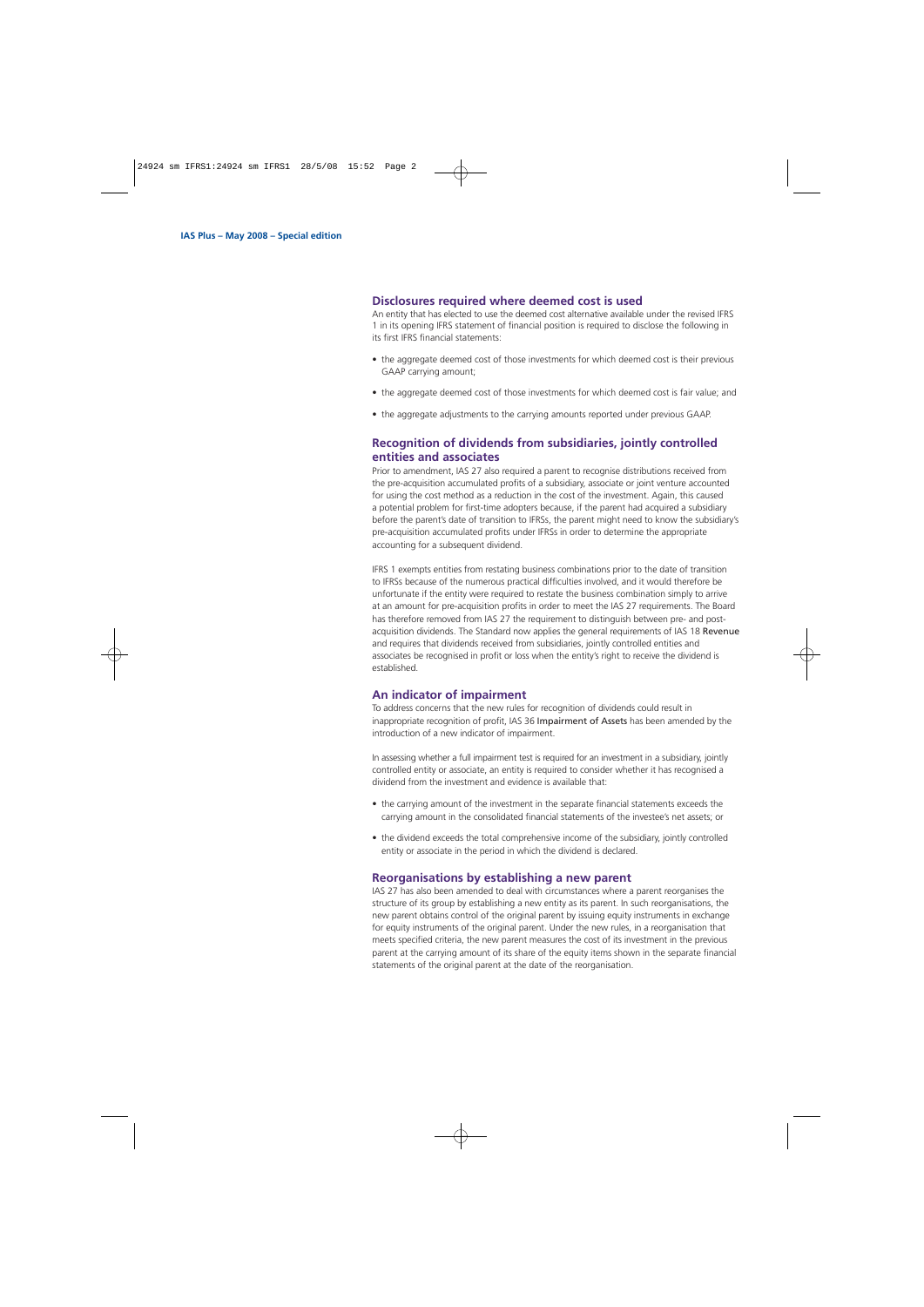#### **Disclosures required where deemed cost is used**

An entity that has elected to use the deemed cost alternative available under the revised IFRS 1 in its opening IFRS statement of financial position is required to disclose the following in its first IFRS financial statements:

- the aggregate deemed cost of those investments for which deemed cost is their previous GAAP carrying amount;
- the aggregate deemed cost of those investments for which deemed cost is fair value; and
- the aggregate adjustments to the carrying amounts reported under previous GAAP.

#### **Recognition of dividends from subsidiaries, jointly controlled entities and associates**

Prior to amendment, IAS 27 also required a parent to recognise distributions received from the pre-acquisition accumulated profits of a subsidiary, associate or joint venture accounted for using the cost method as a reduction in the cost of the investment. Again, this caused a potential problem for first-time adopters because, if the parent had acquired a subsidiary before the parent's date of transition to IFRSs, the parent might need to know the subsidiary's pre-acquisition accumulated profits under IFRSs in order to determine the appropriate accounting for a subsequent dividend.

IFRS 1 exempts entities from restating business combinations prior to the date of transition to IFRSs because of the numerous practical difficulties involved, and it would therefore be unfortunate if the entity were required to restate the business combination simply to arrive at an amount for pre-acquisition profits in order to meet the IAS 27 requirements. The Board has therefore removed from IAS 27 the requirement to distinguish between pre- and postacquisition dividends. The Standard now applies the general requirements of IAS 18 Revenue and requires that dividends received from subsidiaries, jointly controlled entities and associates be recognised in profit or loss when the entity's right to receive the dividend is established.

#### **An indicator of impairment**

To address concerns that the new rules for recognition of dividends could result in inappropriate recognition of profit, IAS 36 Impairment of Assets has been amended by the introduction of a new indicator of impairment.

In assessing whether a full impairment test is required for an investment in a subsidiary, jointly controlled entity or associate, an entity is required to consider whether it has recognised a dividend from the investment and evidence is available that:

- the carrying amount of the investment in the separate financial statements exceeds the carrying amount in the consolidated financial statements of the investee's net assets; or
- the dividend exceeds the total comprehensive income of the subsidiary, jointly controlled entity or associate in the period in which the dividend is declared.

#### **Reorganisations by establishing a new parent**

IAS 27 has also been amended to deal with circumstances where a parent reorganises the structure of its group by establishing a new entity as its parent. In such reorganisations, the new parent obtains control of the original parent by issuing equity instruments in exchange for equity instruments of the original parent. Under the new rules, in a reorganisation that meets specified criteria, the new parent measures the cost of its investment in the previous parent at the carrying amount of its share of the equity items shown in the separate financial statements of the original parent at the date of the reorganisation.